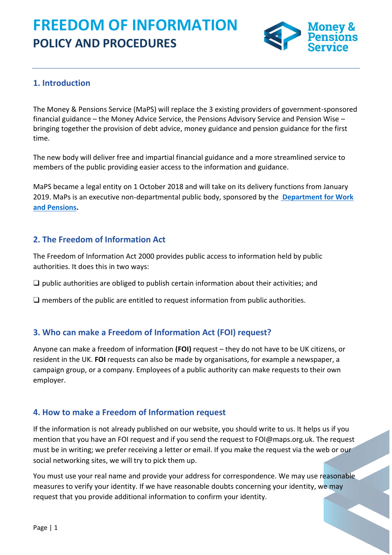

# **1. Introduction**

The Money & Pensions Service (MaPS) will replace the 3 existing providers of government-sponsored financial guidance – the Money Advice Service, the Pensions Advisory Service and Pension Wise – bringing together the provision of debt advice, money guidance and pension guidance for the first time.

The new body will deliver free and impartial financial guidance and a more streamlined service to members of the public providing easier access to the information and guidance.

MaPS became a legal entity on 1 October 2018 and will take on its delivery functions from January 2019. MaPs is an executive non-departmental public body, sponsored by the **[Department for Work](https://www.gov.uk/government/organisations/department-for-work-pensions)  [and Pensions.](https://www.gov.uk/government/organisations/department-for-work-pensions)**

## **2. The Freedom of Information Act**

The Freedom of Information Act 2000 provides public access to information held by public authorities. It does this in two ways:

 $\Box$  public authorities are obliged to publish certain information about their activities; and

 $\Box$  members of the public are entitled to request information from public authorities.

#### **3. Who can make a Freedom of Information Act (FOI) request?**

Anyone can make a freedom of information **(FOI)** request – they do not have to be UK citizens, or resident in the UK. **FOI** requests can also be made by organisations, for example a newspaper, a campaign group, or a company. Employees of a public authority can make requests to their own employer.

#### **4. How to make a Freedom of Information request**

If the information is not already published on our website, you should write to us. It helps us if you mention that you have an FOI request and if you send the request to FOI@maps.org.uk. The request must be in writing; we prefer receiving a letter or email. If you make the request via the web or our social networking sites, we will try to pick them up.

You must use your real name and provide your address for correspondence. We may use reasonable measures to verify your identity. If we have reasonable doubts concerning your identity, we may request that you provide additional information to confirm your identity.